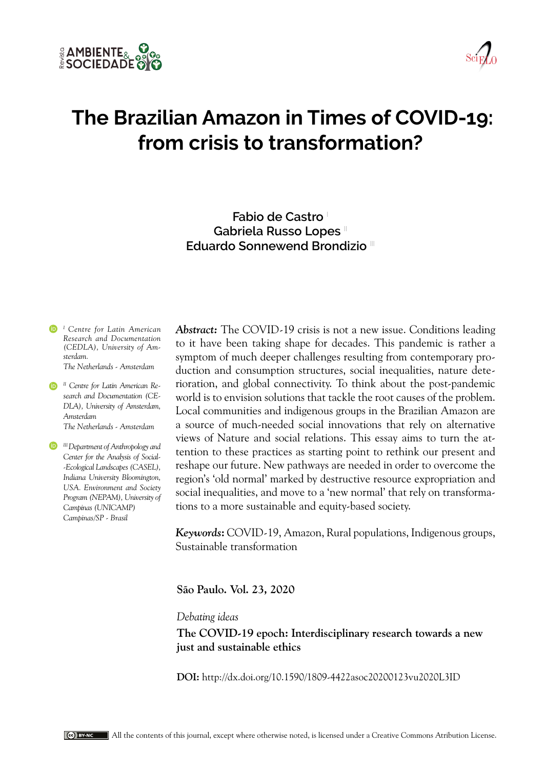



# **The Brazilian Amazon in Times of COVID-19: from crisis to transformation?**

**Fabio de Castro** <sup>I</sup> **Gabriela Russo Lopes** II **Eduardo Sonnewend Brondizio** III

*I Centre for Latin American Research and Documentation (CEDLA), University of Amsterdam. The Netherlands - Amsterdam*

*II Centre for Latin American Research and Documentation (CE-DLA), University of Amsterdam, Amsterdam The Netherlands - Amsterdam*

*III Department of Anthropology and Center for the Analysis of Social- -Ecological Landscapes (CASEL), Indiana University Bloomington, USA. Environment and Society Program (NEPAM), University of Campinas (UNICAMP) Campinas/SP - Brasil*

*Abstract:* The COVID-19 crisis is not a new issue. Conditions leading to it have been taking shape for decades. This pandemic is rather a symptom of much deeper challenges resulting from contemporary production and consumption structures, social inequalities, nature deterioration, and global connectivity. To think about the post-pandemic world is to envision solutions that tackle the root causes of the problem. Local communities and indigenous groups in the Brazilian Amazon are a source of much-needed social innovations that rely on alternative views of Nature and social relations. This essay aims to turn the attention to these practices as starting point to rethink our present and reshape our future. New pathways are needed in order to overcome the region's 'old normal' marked by destructive resource expropriation and social inequalities, and move to a 'new normal' that rely on transformations to a more sustainable and equity-based society.

*Keywords***:** COVID-19, Amazon, Rural populations, Indigenous groups, Sustainable transformation

**São Paulo. Vol. 23, 2020**

*Debating ideas*

**The COVID-19 epoch: Interdisciplinary research towards a new just and sustainable ethics**

**DOI:** http://dx.doi.org/10.1590/1809-4422asoc20200123vu2020L3ID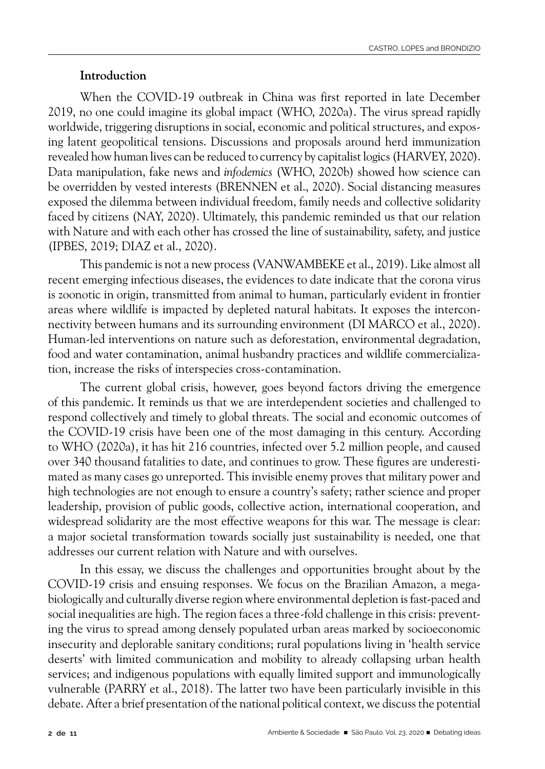#### **Introduction**

When the COVID-19 outbreak in China was first reported in late December 2019, no one could imagine its global impact (WHO, 2020a). The virus spread rapidly worldwide, triggering disruptions in social, economic and political structures, and exposing latent geopolitical tensions. Discussions and proposals around herd immunization revealed how human lives can be reduced to currency by capitalist logics (HARVEY, 2020). Data manipulation, fake news and *infodemics* (WHO, 2020b) showed how science can be overridden by vested interests (BRENNEN et al., 2020). Social distancing measures exposed the dilemma between individual freedom, family needs and collective solidarity faced by citizens (NAY, 2020). Ultimately, this pandemic reminded us that our relation with Nature and with each other has crossed the line of sustainability, safety, and justice (IPBES, 2019; DIAZ et al., 2020).

This pandemic is not a new process (VANWAMBEKE et al., 2019). Like almost all recent emerging infectious diseases, the evidences to date indicate that the corona virus is zoonotic in origin, transmitted from animal to human, particularly evident in frontier areas where wildlife is impacted by depleted natural habitats. It exposes the interconnectivity between humans and its surrounding environment (DI MARCO et al., 2020). Human-led interventions on nature such as deforestation, environmental degradation, food and water contamination, animal husbandry practices and wildlife commercialization, increase the risks of interspecies cross-contamination.

The current global crisis, however, goes beyond factors driving the emergence of this pandemic. It reminds us that we are interdependent societies and challenged to respond collectively and timely to global threats. The social and economic outcomes of the COVID-19 crisis have been one of the most damaging in this century. According to WHO (2020a), it has hit 216 countries, infected over 5.2 million people, and caused over 340 thousand fatalities to date, and continues to grow. These figures are underestimated as many cases go unreported. This invisible enemy proves that military power and high technologies are not enough to ensure a country's safety; rather science and proper leadership, provision of public goods, collective action, international cooperation, and widespread solidarity are the most effective weapons for this war. The message is clear: a major societal transformation towards socially just sustainability is needed, one that addresses our current relation with Nature and with ourselves.

In this essay, we discuss the challenges and opportunities brought about by the COVID-19 crisis and ensuing responses. We focus on the Brazilian Amazon, a megabiologically and culturally diverse region where environmental depletion is fast-paced and social inequalities are high. The region faces a three-fold challenge in this crisis: preventing the virus to spread among densely populated urban areas marked by socioeconomic insecurity and deplorable sanitary conditions; rural populations living in 'health service deserts' with limited communication and mobility to already collapsing urban health services; and indigenous populations with equally limited support and immunologically vulnerable (PARRY et al., 2018). The latter two have been particularly invisible in this debate. After a brief presentation of the national political context, we discuss the potential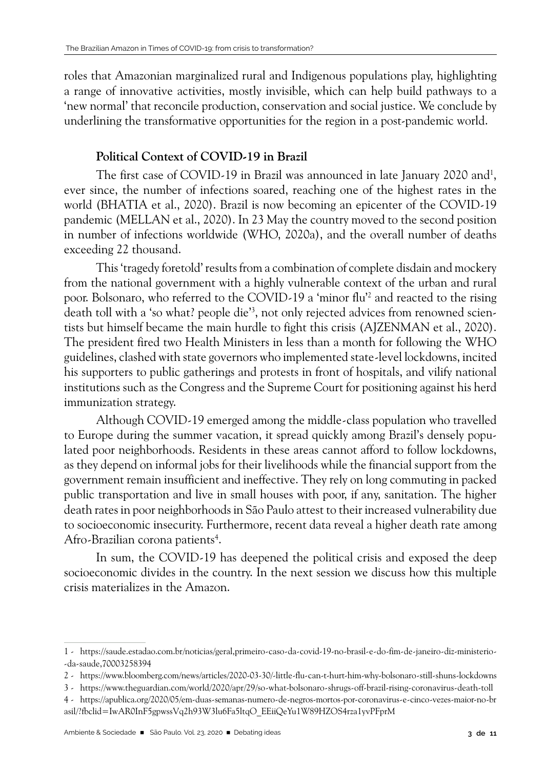roles that Amazonian marginalized rural and Indigenous populations play, highlighting a range of innovative activities, mostly invisible, which can help build pathways to a 'new normal' that reconcile production, conservation and social justice. We conclude by underlining the transformative opportunities for the region in a post-pandemic world.

# **Political Context of COVID-19 in Brazil**

The first case of COVID-19 in Brazil was announced in late January 2020 and<sup>1</sup>, ever since, the number of infections soared, reaching one of the highest rates in the world (BHATIA et al., 2020). Brazil is now becoming an epicenter of the COVID-19 pandemic (MELLAN et al., 2020). In 23 May the country moved to the second position in number of infections worldwide (WHO, 2020a), and the overall number of deaths exceeding 22 thousand.

This 'tragedy foretold' results from a combination of complete disdain and mockery from the national government with a highly vulnerable context of the urban and rural poor. Bolsonaro, who referred to the COVID-19 a 'minor flu'2 and reacted to the rising death toll with a 'so what? people die'<sup>3</sup>, not only rejected advices from renowned scientists but himself became the main hurdle to fight this crisis (AJZENMAN et al., 2020). The president fired two Health Ministers in less than a month for following the WHO guidelines, clashed with state governors who implemented state-level lockdowns, incited his supporters to public gatherings and protests in front of hospitals, and vilify national institutions such as the Congress and the Supreme Court for positioning against his herd immunization strategy.

Although COVID-19 emerged among the middle-class population who travelled to Europe during the summer vacation, it spread quickly among Brazil's densely populated poor neighborhoods. Residents in these areas cannot afford to follow lockdowns, as they depend on informal jobs for their livelihoods while the financial support from the government remain insufficient and ineffective. They rely on long commuting in packed public transportation and live in small houses with poor, if any, sanitation. The higher death rates in poor neighborhoods in São Paulo attest to their increased vulnerability due to socioeconomic insecurity. Furthermore, recent data reveal a higher death rate among Afro-Brazilian corona patients<sup>4</sup>.

In sum, the COVID-19 has deepened the political crisis and exposed the deep socioeconomic divides in the country. In the next session we discuss how this multiple crisis materializes in the Amazon.

<sup>1 -</sup> https://saude.estadao.com.br/noticias/geral,primeiro-caso-da-covid-19-no-brasil-e-do-fim-de-janeiro-diz-ministerio- -da-saude,70003258394

<sup>2 -</sup> https://www.bloomberg.com/news/articles/2020-03-30/-little-flu-can-t-hurt-him-why-bolsonaro-still-shuns-lockdowns

<sup>3 -</sup> https://www.theguardian.com/world/2020/apr/29/so-what-bolsonaro-shrugs-off-brazil-rising-coronavirus-death-toll

<sup>4 -</sup> https://apublica.org/2020/05/em-duas-semanas-numero-de-negros-mortos-por-coronavirus-e-cinco-vezes-maior-no-br asil/?fbclid=IwAR0InF5gpwssVq2h93W3lu6Fa5ltqO\_EEiiQeYu1W89HZOS4rza1yvPFprM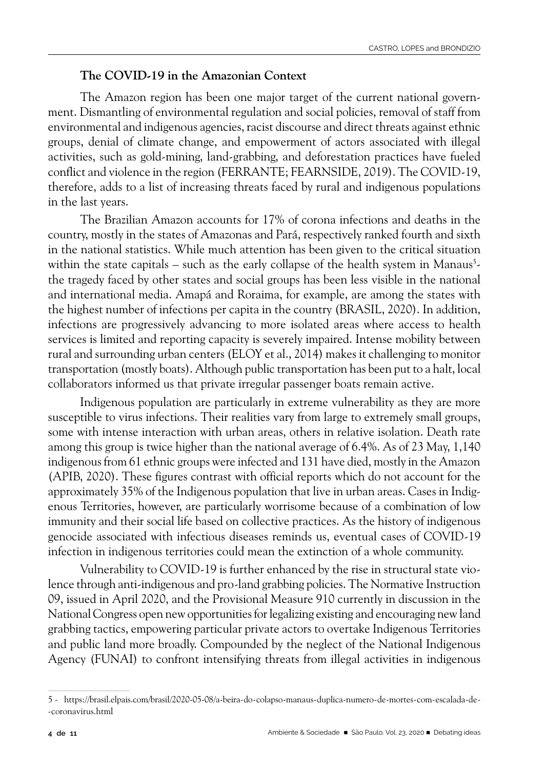#### **The COVID-19 in the Amazonian Context**

The Amazon region has been one major target of the current national government. Dismantling of environmental regulation and social policies, removal of staff from environmental and indigenous agencies, racist discourse and direct threats against ethnic groups, denial of climate change, and empowerment of actors associated with illegal activities, such as gold-mining, land-grabbing, and deforestation practices have fueled conflict and violence in the region (FERRANTE; FEARNSIDE, 2019). The COVID-19, therefore, adds to a list of increasing threats faced by rural and indigenous populations in the last years.

The Brazilian Amazon accounts for 17% of corona infections and deaths in the country, mostly in the states of Amazonas and Pará, respectively ranked fourth and sixth in the national statistics. While much attention has been given to the critical situation within the state capitals – such as the early collapse of the health system in Manaus<sup>5</sup>the tragedy faced by other states and social groups has been less visible in the national and international media. Amapá and Roraima, for example, are among the states with the highest number of infections per capita in the country (BRASIL, 2020). In addition, infections are progressively advancing to more isolated areas where access to health services is limited and reporting capacity is severely impaired. Intense mobility between rural and surrounding urban centers (ELOY et al., 2014) makes it challenging to monitor transportation (mostly boats). Although public transportation has been put to a halt, local collaborators informed us that private irregular passenger boats remain active.

Indigenous population are particularly in extreme vulnerability as they are more susceptible to virus infections. Their realities vary from large to extremely small groups, some with intense interaction with urban areas, others in relative isolation. Death rate among this group is twice higher than the national average of 6.4%. As of 23 May, 1,140 indigenous from 61 ethnic groups were infected and 131 have died, mostly in the Amazon (APIB, 2020). These figures contrast with official reports which do not account for the approximately 35% of the Indigenous population that live in urban areas. Cases in Indigenous Territories, however, are particularly worrisome because of a combination of low immunity and their social life based on collective practices. As the history of indigenous genocide associated with infectious diseases reminds us, eventual cases of COVID-19 infection in indigenous territories could mean the extinction of a whole community.

Vulnerability to COVID-19 is further enhanced by the rise in structural state violence through anti-indigenous and pro-land grabbing policies. The Normative Instruction 09, issued in April 2020, and the Provisional Measure 910 currently in discussion in the National Congress open new opportunities for legalizing existing and encouraging new land grabbing tactics, empowering particular private actors to overtake Indigenous Territories and public land more broadly. Compounded by the neglect of the National Indigenous Agency (FUNAI) to confront intensifying threats from illegal activities in indigenous

<sup>5 -</sup> https://brasil.elpais.com/brasil/2020-05-08/a-beira-do-colapso-manaus-duplica-numero-de-mortes-com-escalada-de- -coronavirus.html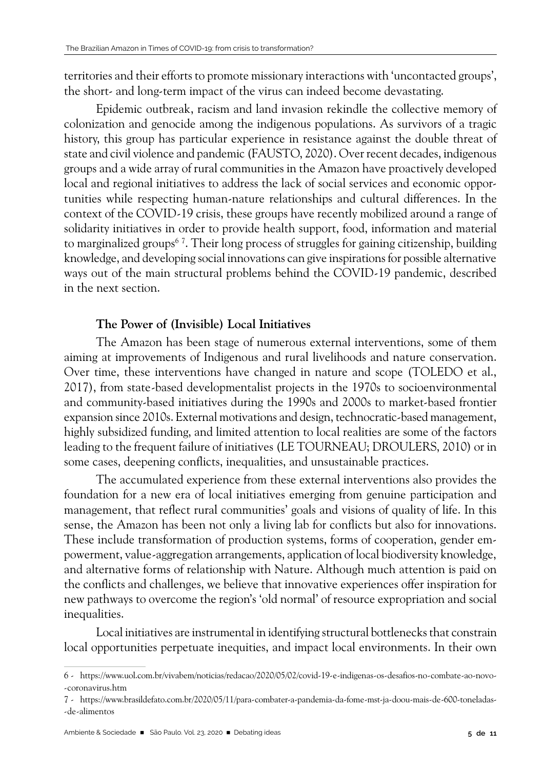territories and their efforts to promote missionary interactions with 'uncontacted groups', the short- and long-term impact of the virus can indeed become devastating.

Epidemic outbreak, racism and land invasion rekindle the collective memory of colonization and genocide among the indigenous populations. As survivors of a tragic history, this group has particular experience in resistance against the double threat of state and civil violence and pandemic (FAUSTO, 2020). Over recent decades, indigenous groups and a wide array of rural communities in the Amazon have proactively developed local and regional initiatives to address the lack of social services and economic opportunities while respecting human-nature relationships and cultural differences. In the context of the COVID-19 crisis, these groups have recently mobilized around a range of solidarity initiatives in order to provide health support, food, information and material to marginalized groups<sup>67</sup>. Their long process of struggles for gaining citizenship, building knowledge, and developing social innovations can give inspirations for possible alternative ways out of the main structural problems behind the COVID-19 pandemic, described in the next section.

## **The Power of (Invisible) Local Initiatives**

The Amazon has been stage of numerous external interventions, some of them aiming at improvements of Indigenous and rural livelihoods and nature conservation. Over time, these interventions have changed in nature and scope (TOLEDO et al., 2017), from state-based developmentalist projects in the 1970s to socioenvironmental and community-based initiatives during the 1990s and 2000s to market-based frontier expansion since 2010s. External motivations and design, technocratic-based management, highly subsidized funding, and limited attention to local realities are some of the factors leading to the frequent failure of initiatives (LE TOURNEAU; DROULERS, 2010) or in some cases, deepening conflicts, inequalities, and unsustainable practices.

The accumulated experience from these external interventions also provides the foundation for a new era of local initiatives emerging from genuine participation and management, that reflect rural communities' goals and visions of quality of life. In this sense, the Amazon has been not only a living lab for conflicts but also for innovations. These include transformation of production systems, forms of cooperation, gender empowerment, value-aggregation arrangements, application of local biodiversity knowledge, and alternative forms of relationship with Nature. Although much attention is paid on the conflicts and challenges, we believe that innovative experiences offer inspiration for new pathways to overcome the region's 'old normal' of resource expropriation and social inequalities.

Local initiatives are instrumental in identifying structural bottlenecks that constrain local opportunities perpetuate inequities, and impact local environments. In their own

<sup>6 -</sup> https://www.uol.com.br/vivabem/noticias/redacao/2020/05/02/covid-19-e-indigenas-os-desafios-no-combate-ao-novo- -coronavirus.htm

<sup>7 -</sup> https://www.brasildefato.com.br/2020/05/11/para-combater-a-pandemia-da-fome-mst-ja-doou-mais-de-600-toneladas- -de-alimentos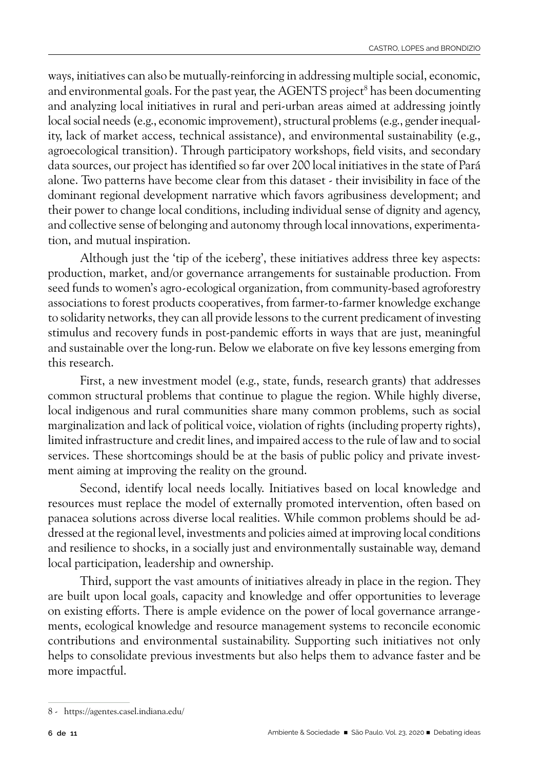ways, initiatives can also be mutually-reinforcing in addressing multiple social, economic, and environmental goals. For the past year, the AGENTS project<sup>8</sup> has been documenting and analyzing local initiatives in rural and peri-urban areas aimed at addressing jointly local social needs (e.g., economic improvement), structural problems (e.g., gender inequality, lack of market access, technical assistance), and environmental sustainability (e.g., agroecological transition). Through participatory workshops, field visits, and secondary data sources, our project has identified so far over 200 local initiatives in the state of Pará alone. Two patterns have become clear from this dataset - their invisibility in face of the dominant regional development narrative which favors agribusiness development; and their power to change local conditions, including individual sense of dignity and agency, and collective sense of belonging and autonomy through local innovations, experimentation, and mutual inspiration.

Although just the 'tip of the iceberg', these initiatives address three key aspects: production, market, and/or governance arrangements for sustainable production. From seed funds to women's agro-ecological organization, from community-based agroforestry associations to forest products cooperatives, from farmer-to-farmer knowledge exchange to solidarity networks, they can all provide lessons to the current predicament of investing stimulus and recovery funds in post-pandemic efforts in ways that are just, meaningful and sustainable over the long-run. Below we elaborate on five key lessons emerging from this research.

First, a new investment model (e.g., state, funds, research grants) that addresses common structural problems that continue to plague the region. While highly diverse, local indigenous and rural communities share many common problems, such as social marginalization and lack of political voice, violation of rights (including property rights), limited infrastructure and credit lines, and impaired access to the rule of law and to social services. These shortcomings should be at the basis of public policy and private investment aiming at improving the reality on the ground.

Second, identify local needs locally. Initiatives based on local knowledge and resources must replace the model of externally promoted intervention, often based on panacea solutions across diverse local realities. While common problems should be addressed at the regional level, investments and policies aimed at improving local conditions and resilience to shocks, in a socially just and environmentally sustainable way, demand local participation, leadership and ownership.

Third, support the vast amounts of initiatives already in place in the region. They are built upon local goals, capacity and knowledge and offer opportunities to leverage on existing efforts. There is ample evidence on the power of local governance arrangements, ecological knowledge and resource management systems to reconcile economic contributions and environmental sustainability. Supporting such initiatives not only helps to consolidate previous investments but also helps them to advance faster and be more impactful.

<sup>8 -</sup> https://agentes.casel.indiana.edu/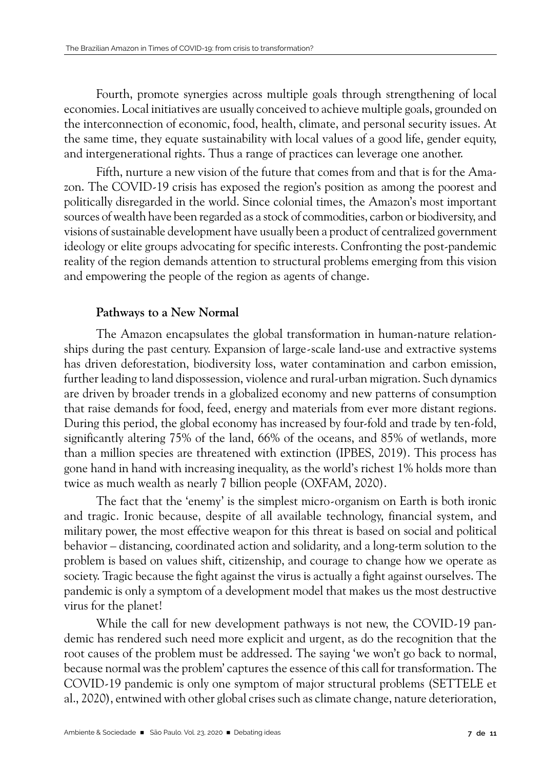Fourth, promote synergies across multiple goals through strengthening of local economies. Local initiatives are usually conceived to achieve multiple goals, grounded on the interconnection of economic, food, health, climate, and personal security issues. At the same time, they equate sustainability with local values of a good life, gender equity, and intergenerational rights. Thus a range of practices can leverage one another.

Fifth, nurture a new vision of the future that comes from and that is for the Amazon. The COVID-19 crisis has exposed the region's position as among the poorest and politically disregarded in the world. Since colonial times, the Amazon's most important sources of wealth have been regarded as a stock of commodities, carbon or biodiversity, and visions of sustainable development have usually been a product of centralized government ideology or elite groups advocating for specific interests. Confronting the post-pandemic reality of the region demands attention to structural problems emerging from this vision and empowering the people of the region as agents of change.

## **Pathways to a New Normal**

The Amazon encapsulates the global transformation in human-nature relationships during the past century. Expansion of large-scale land-use and extractive systems has driven deforestation, biodiversity loss, water contamination and carbon emission, further leading to land dispossession, violence and rural-urban migration. Such dynamics are driven by broader trends in a globalized economy and new patterns of consumption that raise demands for food, feed, energy and materials from ever more distant regions. During this period, the global economy has increased by four-fold and trade by ten-fold, significantly altering 75% of the land, 66% of the oceans, and 85% of wetlands, more than a million species are threatened with extinction (IPBES, 2019). This process has gone hand in hand with increasing inequality, as the world's richest 1% holds more than twice as much wealth as nearly 7 billion people (OXFAM, 2020).

The fact that the 'enemy' is the simplest micro-organism on Earth is both ironic and tragic. Ironic because, despite of all available technology, financial system, and military power, the most effective weapon for this threat is based on social and political behavior – distancing, coordinated action and solidarity, and a long-term solution to the problem is based on values shift, citizenship, and courage to change how we operate as society. Tragic because the fight against the virus is actually a fight against ourselves. The pandemic is only a symptom of a development model that makes us the most destructive virus for the planet!

While the call for new development pathways is not new, the COVID-19 pandemic has rendered such need more explicit and urgent, as do the recognition that the root causes of the problem must be addressed. The saying 'we won't go back to normal, because normal was the problem' captures the essence of this call for transformation. The COVID-19 pandemic is only one symptom of major structural problems (SETTELE et al., 2020), entwined with other global crises such as climate change, nature deterioration,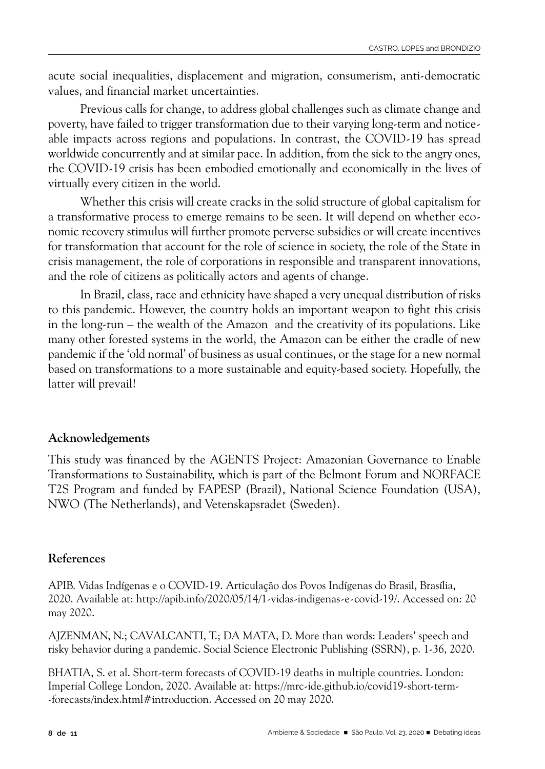acute social inequalities, displacement and migration, consumerism, anti-democratic values, and financial market uncertainties.

Previous calls for change, to address global challenges such as climate change and poverty, have failed to trigger transformation due to their varying long-term and noticeable impacts across regions and populations. In contrast, the COVID-19 has spread worldwide concurrently and at similar pace. In addition, from the sick to the angry ones, the COVID-19 crisis has been embodied emotionally and economically in the lives of virtually every citizen in the world.

Whether this crisis will create cracks in the solid structure of global capitalism for a transformative process to emerge remains to be seen. It will depend on whether economic recovery stimulus will further promote perverse subsidies or will create incentives for transformation that account for the role of science in society, the role of the State in crisis management, the role of corporations in responsible and transparent innovations, and the role of citizens as politically actors and agents of change.

In Brazil, class, race and ethnicity have shaped a very unequal distribution of risks to this pandemic. However, the country holds an important weapon to fight this crisis in the long-run – the wealth of the Amazon and the creativity of its populations. Like many other forested systems in the world, the Amazon can be either the cradle of new pandemic if the 'old normal' of business as usual continues, or the stage for a new normal based on transformations to a more sustainable and equity-based society. Hopefully, the latter will prevail!

## **Acknowledgements**

This study was financed by the AGENTS Project: Amazonian Governance to Enable Transformations to Sustainability, which is part of the Belmont Forum and NORFACE T2S Program and funded by FAPESP (Brazil), National Science Foundation (USA), NWO (The Netherlands), and Vetenskapsradet (Sweden).

# **References**

APIB. Vidas Indígenas e o COVID-19. Articulação dos Povos Indígenas do Brasil, Brasília, 2020. Available at: http://apib.info/2020/05/14/1-vidas-indigenas-e-covid-19/. Accessed on: 20 may 2020.

AJZENMAN, N.; CAVALCANTI, T.; DA MATA, D. More than words: Leaders' speech and risky behavior during a pandemic. Social Science Electronic Publishing (SSRN), p. 1-36, 2020.

BHATIA, S. et al. Short-term forecasts of COVID-19 deaths in multiple countries. London: Imperial College London, 2020. Available at: https://mrc-ide.github.io/covid19-short-term- -forecasts/index.html#introduction. Accessed on 20 may 2020.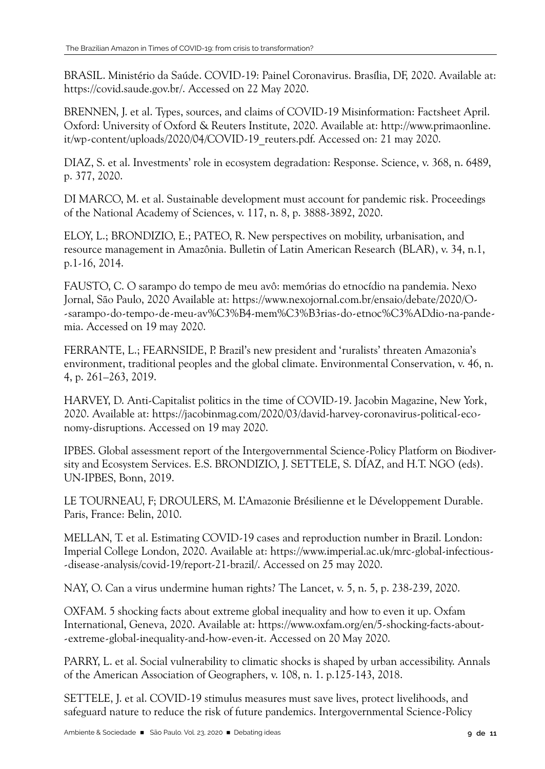BRASIL. Ministério da Saúde. COVID-19: Painel Coronavirus. Brasília, DF, 2020. Available at: https://covid.saude.gov.br/. Accessed on 22 May 2020.

BRENNEN, J. et al. Types, sources, and claims of COVID-19 Misinformation: Factsheet April. Oxford: University of Oxford & Reuters Institute, 2020. Available at: http://www.primaonline. it/wp-content/uploads/2020/04/COVID-19\_reuters.pdf. Accessed on: 21 may 2020.

DIAZ, S. et al. Investments' role in ecosystem degradation: Response. Science, v. 368, n. 6489, p. 377, 2020.

DI MARCO, M. et al. Sustainable development must account for pandemic risk. Proceedings of the National Academy of Sciences, v. 117, n. 8, p. 3888-3892, 2020.

ELOY, L.; BRONDIZIO, E.; PATEO, R. New perspectives on mobility, urbanisation, and resource management in Amazônia. Bulletin of Latin American Research (BLAR), v. 34, n.1, p.1-16, 2014.

FAUSTO, C. O sarampo do tempo de meu avô: memórias do etnocídio na pandemia. Nexo Jornal, São Paulo, 2020 Available at: https://www.nexojornal.com.br/ensaio/debate/2020/O- -sarampo-do-tempo-de-meu-av%C3%B4-mem%C3%B3rias-do-etnoc%C3%ADdio-na-pandemia. Accessed on 19 may 2020.

FERRANTE, L.; FEARNSIDE, P. Brazil's new president and 'ruralists' threaten Amazonia's environment, traditional peoples and the global climate. Environmental Conservation, v. 46, n. 4, p. 261–263, 2019.

HARVEY, D. Anti-Capitalist politics in the time of COVID-19. Jacobin Magazine, New York, 2020. Available at: https://jacobinmag.com/2020/03/david-harvey-coronavirus-political-economy-disruptions. Accessed on 19 may 2020.

IPBES. Global assessment report of the Intergovernmental Science-Policy Platform on Biodiversity and Ecosystem Services. E.S. BRONDIZIO, J. SETTELE, S. DÍAZ, and H.T. NGO (eds). UN-IPBES, Bonn, 2019.

LE TOURNEAU, F; DROULERS, M. L'Amazonie Brésilienne et le Développement Durable. Paris, France: Belin, 2010.

MELLAN, T. et al. Estimating COVID-19 cases and reproduction number in Brazil. London: Imperial College London, 2020. Available at: https://www.imperial.ac.uk/mrc-global-infectious- -disease-analysis/covid-19/report-21-brazil/. Accessed on 25 may 2020.

NAY, O. Can a virus undermine human rights? The Lancet, v. 5, n. 5, p. 238-239, 2020.

OXFAM. 5 shocking facts about extreme global inequality and how to even it up. Oxfam International, Geneva, 2020. Available at: https://www.oxfam.org/en/5-shocking-facts-about- -extreme-global-inequality-and-how-even-it. Accessed on 20 May 2020.

PARRY, L. et al. Social vulnerability to climatic shocks is shaped by urban accessibility. Annals of the American Association of Geographers, v. 108, n. 1. p.125-143, 2018.

SETTELE, J. et al. COVID-19 stimulus measures must save lives, protect livelihoods, and safeguard nature to reduce the risk of future pandemics. Intergovernmental Science-Policy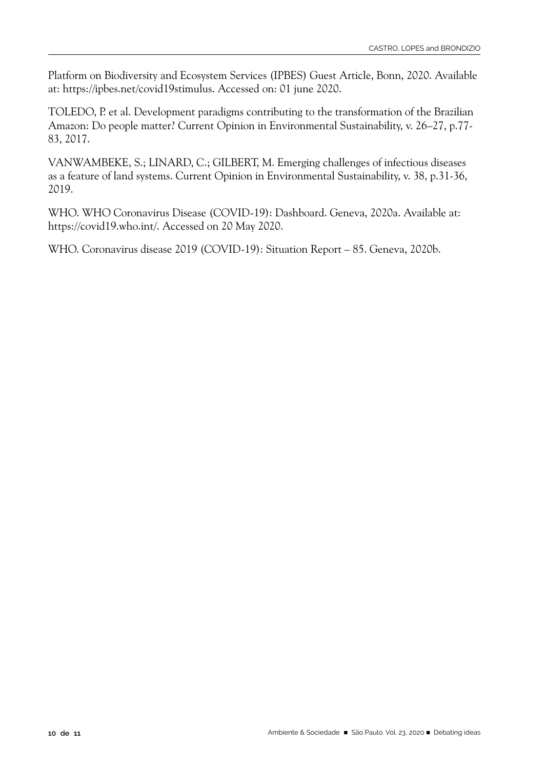Platform on Biodiversity and Ecosystem Services (IPBES) Guest Article, Bonn, 2020. Available at: https://ipbes.net/covid19stimulus. Accessed on: 01 june 2020.

TOLEDO, P. et al. Development paradigms contributing to the transformation of the Brazilian Amazon: Do people matter? Current Opinion in Environmental Sustainability, v. 26–27, p.77- 83, 2017.

VANWAMBEKE, S.; LINARD, C.; GILBERT, M. Emerging challenges of infectious diseases as a feature of land systems. Current Opinion in Environmental Sustainability, v. 38, p.31-36, 2019.

WHO. WHO Coronavirus Disease (COVID-19): Dashboard. Geneva, 2020a. Available at: https://covid19.who.int/. Accessed on 20 May 2020.

WHO. Coronavirus disease 2019 (COVID-19): Situation Report – 85. Geneva, 2020b.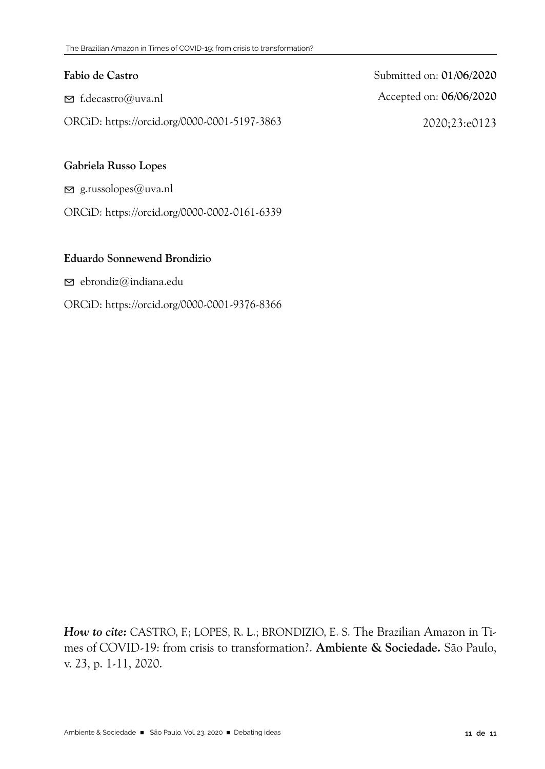## **Fabio de Castro**

 $\triangleright$  f.decastro@uva.nl

ORCiD: https://orcid.org/0000-0001-5197-3863

Submitted on: **01/06/2020** Accepted on: **06/06/2020** 2020;23:e0123

### **Gabriela Russo Lopes**

 $\Xi$  g.russolopes@uva.nl

ORCiD: https://orcid.org/0000-0002-0161-6339

## **Eduardo Sonnewend Brondizio**

 $\triangleright$  ebrondiz@indiana.edu

### ORCiD: https://orcid.org/0000-0001-9376-8366

*How to cite:* CASTRO, F.; LOPES, R. L.; BRONDIZIO, E. S. The Brazilian Amazon in Times of COVID-19: from crisis to transformation?. **Ambiente & Sociedade.** São Paulo, v. 23, p. 1-11, 2020.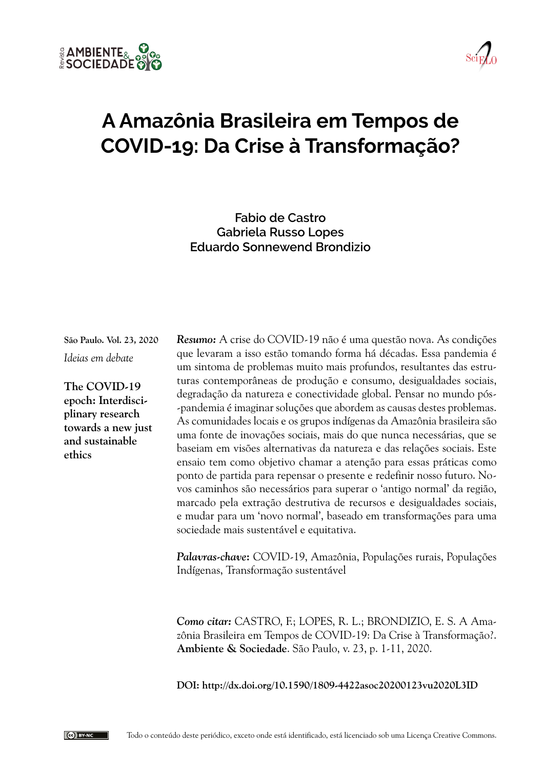



# **A Amazônia Brasileira em Tempos de COVID-19: Da Crise à Transformação?**

**Fabio de Castro Gabriela Russo Lopes Eduardo Sonnewend Brondizio**

**São Paulo. Vol. 23, 2020** *Ideias em debate*

**The COVID-19 epoch: Interdisciplinary research towards a new just and sustainable ethics**

*Resumo:* A crise do COVID-19 não é uma questão nova. As condições que levaram a isso estão tomando forma há décadas. Essa pandemia é um sintoma de problemas muito mais profundos, resultantes das estruturas contemporâneas de produção e consumo, desigualdades sociais, degradação da natureza e conectividade global. Pensar no mundo pós- -pandemia é imaginar soluções que abordem as causas destes problemas. As comunidades locais e os grupos indígenas da Amazônia brasileira são uma fonte de inovações sociais, mais do que nunca necessárias, que se baseiam em visões alternativas da natureza e das relações sociais. Este ensaio tem como objetivo chamar a atenção para essas práticas como ponto de partida para repensar o presente e redefinir nosso futuro. Novos caminhos são necessários para superar o 'antigo normal' da região, marcado pela extração destrutiva de recursos e desigualdades sociais, e mudar para um 'novo normal', baseado em transformações para uma sociedade mais sustentável e equitativa.

*Palavras-chave***:** COVID-19, Amazônia, Populações rurais, Populações Indígenas, Transformação sustentável

*Como citar:* CASTRO, F.; LOPES, R. L.; BRONDIZIO, E. S. A Amazônia Brasileira em Tempos de COVID-19: Da Crise à Transformação?. **Ambiente & Sociedade**. São Paulo, v. 23, p. 1-11, 2020.

**DOI: http://dx.doi.org/10.1590/1809-4422asoc20200123vu2020L3ID**